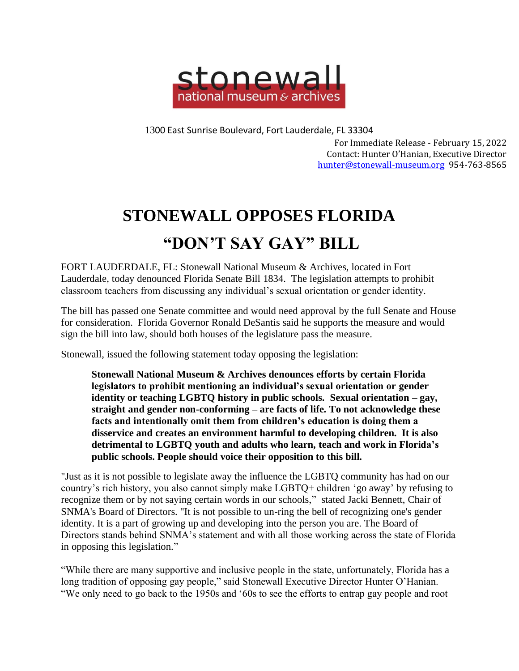

1300 East Sunrise Boulevard, Fort Lauderdale, FL 33304

For Immediate Release - February 15, 2022 Contact: Hunter O'Hanian, Executive Director [hunter@stonewall-museum.org](mailto:hunter@stonewall-museum.org) 954-763-8565

## **STONEWALL OPPOSES FLORIDA**

## **"DON'T SAY GAY" BILL**

FORT LAUDERDALE, FL: Stonewall National Museum & Archives, located in Fort Lauderdale, today denounced Florida Senate Bill 1834. The legislation attempts to prohibit classroom teachers from discussing any individual's sexual orientation or gender identity.

The bill has passed one Senate committee and would need approval by the full Senate and House for consideration. Florida Governor Ronald DeSantis said he supports the measure and would sign the bill into law, should both houses of the legislature pass the measure.

Stonewall, issued the following statement today opposing the legislation:

**Stonewall National Museum & Archives denounces efforts by certain Florida legislators to prohibit mentioning an individual's sexual orientation or gender identity or teaching LGBTQ history in public schools. Sexual orientation – gay, straight and gender non-conforming – are facts of life. To not acknowledge these facts and intentionally omit them from children's education is doing them a disservice and creates an environment harmful to developing children. It is also detrimental to LGBTQ youth and adults who learn, teach and work in Florida's public schools. People should voice their opposition to this bill.**

"Just as it is not possible to legislate away the influence the LGBTQ community has had on our country's rich history, you also cannot simply make LGBTQ+ children 'go away' by refusing to recognize them or by not saying certain words in our schools," stated Jacki Bennett, Chair of SNMA's Board of Directors. "It is not possible to un-ring the bell of recognizing one's gender identity. It is a part of growing up and developing into the person you are. The Board of Directors stands behind SNMA's statement and with all those working across the state of Florida in opposing this legislation."

"While there are many supportive and inclusive people in the state, unfortunately, Florida has a long tradition of opposing gay people," said Stonewall Executive Director Hunter O'Hanian. "We only need to go back to the 1950s and '60s to see the efforts to entrap gay people and root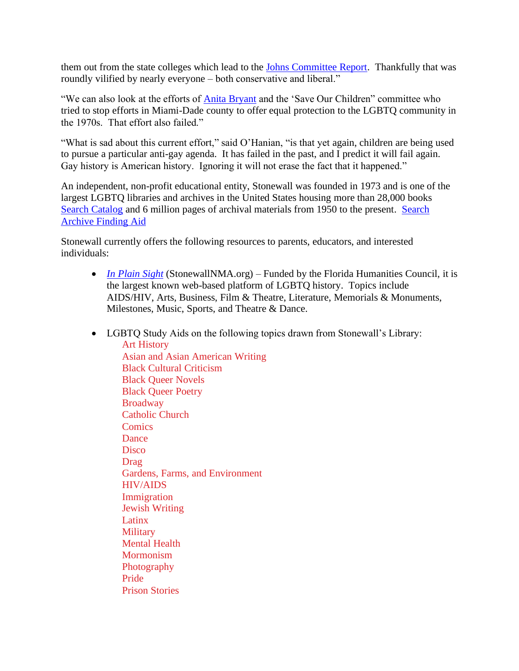them out from the state colleges which lead to the [Johns Committee Report.](https://ufdc.ufl.edu/UF00004805/00001) Thankfully that was roundly vilified by nearly everyone – both conservative and liberal."

"We can also look at the efforts of [Anita Bryant](https://guides.ucf.edu/glbtq/anitabryant) and the 'Save Our Children" committee who tried to stop efforts in Miami-Dade county to offer equal protection to the LGBTQ community in the 1970s. That effort also failed."

"What is sad about this current effort," said O'Hanian, "is that yet again, children are being used to pursue a particular anti-gay agenda. It has failed in the past, and I predict it will fail again. Gay history is American history. Ignoring it will not erase the fact that it happened."

An independent, non-profit educational entity, Stonewall was founded in 1973 and is one of the largest LGBTQ libraries and archives in the United States housing more than 28,000 books [Search Catalog](http://stonewall.dnsalias.org/) and 6 million pages of archival materials from 1950 to the present. [Search](https://stonewall-museum.org/wp-content/uploads/SNMA-Subject-Topic-Finding-Aid_10.19.2021.docx.pdf)  [Archive Finding Aid](https://stonewall-museum.org/wp-content/uploads/SNMA-Subject-Topic-Finding-Aid_10.19.2021.docx.pdf)

Stonewall currently offers the following resources to parents, educators, and interested individuals:

- *[In Plain Sight](https://www.stonewallnma.org/)* (StonewallNMA.org) Funded by the Florida Humanities Council, it is the largest known web-based platform of LGBTQ history. Topics include AIDS/HIV, Arts, Business, Film & Theatre, Literature, Memorials & Monuments, Milestones, Music, Sports, and Theatre & Dance.
- LGBTO Study Aids on the following topics drawn from Stonewall's Library: Art [History](https://stonewall-museum.org/wp-content/uploads/SNMA-Library-Art-History.pdf) Asian and Asian [American](https://stonewall-museum.org/wp-content/uploads/SNMA-Library-Asian.pdf) Writing Black Cultural [Criticism](https://stonewall-museum.org/wp-content/uploads/SNMA-Library-Black-Queer-Cultural-Criticism.pdf) Black Queer [Novels](https://stonewall-museum.org/wp-content/uploads/SNMA-Library-Black-Queer-Novels.pdf) Black Queer [Poetry](https://stonewall-museum.org/wp-content/uploads/SNMA-Library-Black-Queer-Poetry.pdf) **[Broadway](https://stonewall-museum.org/wp-content/uploads/SNMA-Library-Broadway.pdf)** [Catholic](https://stonewall-museum.org/wp-content/uploads/SNMA-Library-Catholic.pdf) Church **[Comics](https://stonewall-museum.org/wp-content/uploads/SNMA-Library-Comics.pdf)** [Dance](https://stonewall-museum.org/wp-content/uploads/SNMA-Library-Dance.pdf) **[Disco](https://stonewall-museum.org/wp-content/uploads/SNMA-Library-Disco-1.pdf)** [Drag](https://stonewall-museum.org/wp-content/uploads/SNMA-Library-Drag.pdf) Gardens, Farms, and [Environment](https://stonewall-museum.org/wp-content/uploads/SNMA-Library-Nature-1.pdf) [HIV/AIDS](https://stonewall-museum.org/wp-content/uploads/SNMA-Library-HIV-AIDS.pdf) [Immigration](https://stonewall-museum.org/wp-content/uploads/SNMA-Library-Queers-Across-Borders.pdf) Jewish [Writing](https://stonewall-museum.org/wp-content/uploads/SNMA-Library-Jewish.pdf) [Latinx](https://stonewall-museum.org/wp-content/uploads/SNMA-Library-Latinx.pdf) **[Military](https://stonewall-museum.org/wp-content/uploads/SNMA-Library-Military.pdf)** [Mental](https://stonewall-museum.org/wp-content/uploads/SNMA-Library-Mental-Health.pdf) Health **[Mormonism](https://stonewall-museum.org/wp-content/uploads/SNMA-Library-Mormonism.pdf) [Photography](https://stonewall-museum.org/wp-content/uploads/SNMA-Library-Queer-Photography.pdf)** [Pride](https://stonewall-museum.org/wp-content/uploads/SNMA-Library-Pride.pdf) Prison [Stories](https://stonewall-museum.org/wp-content/uploads/SNMA-Library-Prison-Stories-1.pdf)